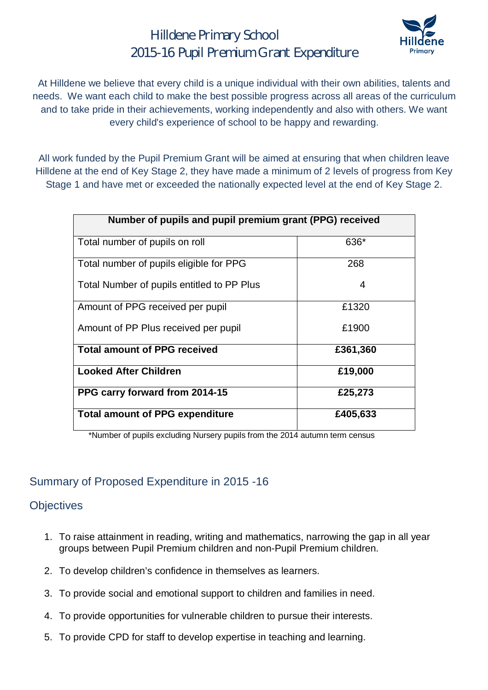## Hilldene Primary School 2015-16 Pupil Premium Grant Expenditure



At Hilldene we believe that every child is a unique individual with their own abilities, talents and needs. We want each child to make the best possible progress across all areas of the curriculum and to take pride in their achievements, working independently and also with others. We want every child's experience of school to be happy and rewarding.

All work funded by the Pupil Premium Grant will be aimed at ensuring that when children leave Hilldene at the end of Key Stage 2, they have made a minimum of 2 levels of progress from Key Stage 1 and have met or exceeded the nationally expected level at the end of Key Stage 2.

| Number of pupils and pupil premium grant (PPG) received |          |  |  |  |
|---------------------------------------------------------|----------|--|--|--|
| Total number of pupils on roll                          | 636*     |  |  |  |
| Total number of pupils eligible for PPG                 | 268      |  |  |  |
| Total Number of pupils entitled to PP Plus              | 4        |  |  |  |
| Amount of PPG received per pupil                        | £1320    |  |  |  |
| Amount of PP Plus received per pupil                    | £1900    |  |  |  |
| <b>Total amount of PPG received</b>                     | £361,360 |  |  |  |
| <b>Looked After Children</b>                            | £19,000  |  |  |  |
| PPG carry forward from 2014-15                          | £25,273  |  |  |  |
| <b>Total amount of PPG expenditure</b>                  | £405,633 |  |  |  |

\*Number of pupils excluding Nursery pupils from the 2014 autumn term census

#### Summary of Proposed Expenditure in 2015 -16

#### **Objectives**

- 1. To raise attainment in reading, writing and mathematics, narrowing the gap in all year groups between Pupil Premium children and non-Pupil Premium children.
- 2. To develop children's confidence in themselves as learners.
- 3. To provide social and emotional support to children and families in need.
- 4. To provide opportunities for vulnerable children to pursue their interests.
- 5. To provide CPD for staff to develop expertise in teaching and learning.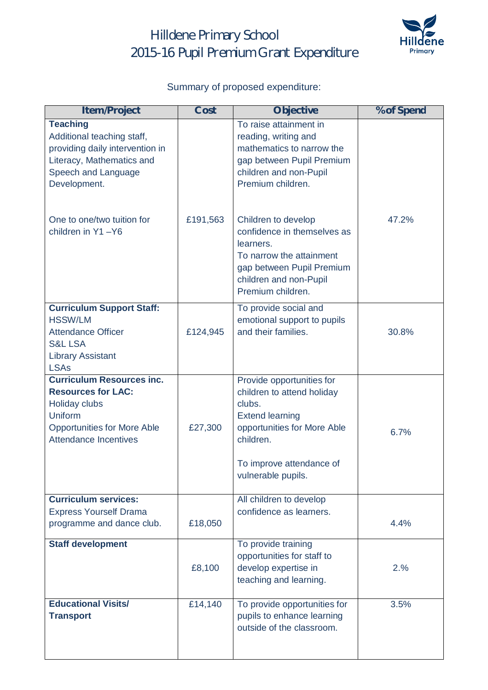# Hilldene Primary School 2015-16 Pupil Premium Grant Expenditure



### Summary of proposed expenditure:

| <b>Item/Project</b>                                                                                                                                                    | <b>Cost</b> | <b>Objective</b>                                                                                                                                                                          | % of Spend |
|------------------------------------------------------------------------------------------------------------------------------------------------------------------------|-------------|-------------------------------------------------------------------------------------------------------------------------------------------------------------------------------------------|------------|
| <b>Teaching</b><br>Additional teaching staff,<br>providing daily intervention in<br>Literacy, Mathematics and<br>Speech and Language<br>Development.                   |             | To raise attainment in<br>reading, writing and<br>mathematics to narrow the<br>gap between Pupil Premium<br>children and non-Pupil<br>Premium children.                                   |            |
| One to one/two tuition for<br>children in Y1-Y6                                                                                                                        | £191,563    | Children to develop<br>confidence in themselves as<br>learners.<br>To narrow the attainment<br>gap between Pupil Premium<br>children and non-Pupil<br>Premium children.                   | 47.2%      |
| <b>Curriculum Support Staff:</b><br><b>HSSW/LM</b><br><b>Attendance Officer</b><br><b>S&amp;L LSA</b><br><b>Library Assistant</b><br><b>LSAs</b>                       | £124,945    | To provide social and<br>emotional support to pupils<br>and their families.                                                                                                               | 30.8%      |
| <b>Curriculum Resources inc.</b><br><b>Resources for LAC:</b><br><b>Holiday clubs</b><br>Uniform<br><b>Opportunities for More Able</b><br><b>Attendance Incentives</b> | £27,300     | Provide opportunities for<br>children to attend holiday<br>clubs.<br><b>Extend learning</b><br>opportunities for More Able<br>children.<br>To improve attendance of<br>vulnerable pupils. | 6.7%       |
| <b>Curriculum services:</b><br><b>Express Yourself Drama</b><br>programme and dance club.                                                                              | £18,050     | All children to develop<br>confidence as learners.                                                                                                                                        | 4.4%       |
| <b>Staff development</b>                                                                                                                                               | £8,100      | To provide training<br>opportunities for staff to<br>develop expertise in<br>teaching and learning.                                                                                       | 2.%        |
| <b>Educational Visits/</b><br><b>Transport</b>                                                                                                                         | £14,140     | To provide opportunities for<br>pupils to enhance learning<br>outside of the classroom.                                                                                                   | 3.5%       |